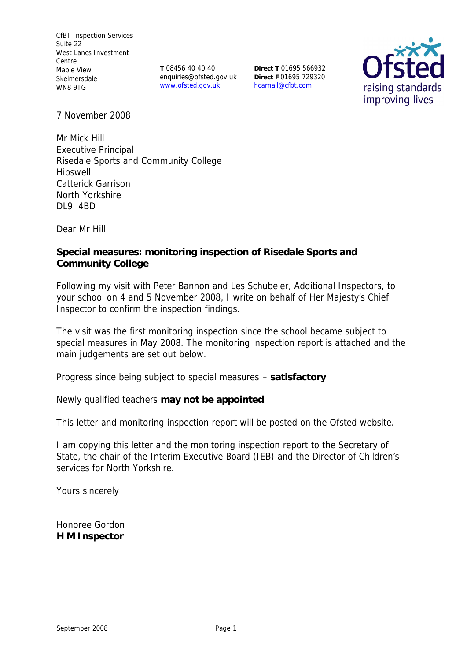CfBT Inspection Services Suite 22 West Lancs Investment Centre Maple View Skelmersdale WN8 9TG

**T** 08456 40 40 40 enquiries@ofsted.gov.uk www.ofsted.gov.uk

**Direct T** 01695 566932 **Direct F** 01695 729320 hcarnall@cfbt.com



7 November 2008

Mr Mick Hill Executive Principal Risedale Sports and Community College Hipswell Catterick Garrison North Yorkshire DL9 4BD

Dear Mr Hill

**Special measures: monitoring inspection of Risedale Sports and Community College**

Following my visit with Peter Bannon and Les Schubeler, Additional Inspectors, to your school on 4 and 5 November 2008, I write on behalf of Her Majesty's Chief Inspector to confirm the inspection findings.

The visit was the first monitoring inspection since the school became subject to special measures in May 2008. The monitoring inspection report is attached and the main judgements are set out below.

Progress since being subject to special measures – **satisfactory**

Newly qualified teachers **may not be appointed**.

This letter and monitoring inspection report will be posted on the Ofsted website.

I am copying this letter and the monitoring inspection report to the Secretary of State, the chair of the Interim Executive Board (IEB) and the Director of Children's services for North Yorkshire.

Yours sincerely

Honoree Gordon **H M Inspector**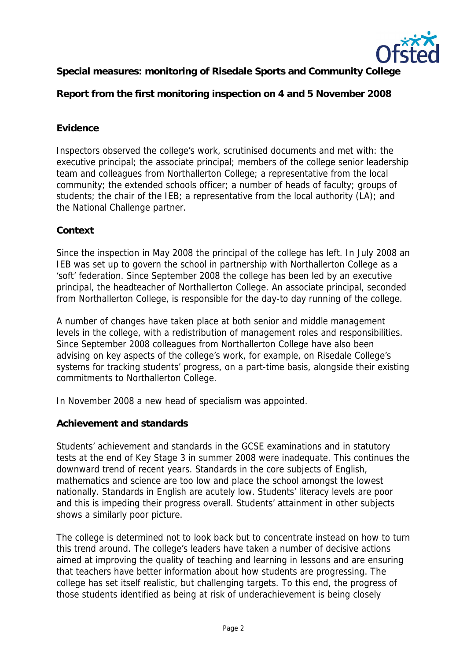

**Special measures: monitoring of Risedale Sports and Community College** 

**Report from the first monitoring inspection on 4 and 5 November 2008**

## **Evidence**

Inspectors observed the college's work, scrutinised documents and met with: the executive principal; the associate principal; members of the college senior leadership team and colleagues from Northallerton College; a representative from the local community; the extended schools officer; a number of heads of faculty; groups of students; the chair of the IEB; a representative from the local authority (LA); and the National Challenge partner.

## **Context**

Since the inspection in May 2008 the principal of the college has left. In July 2008 an IEB was set up to govern the school in partnership with Northallerton College as a 'soft' federation. Since September 2008 the college has been led by an executive principal, the headteacher of Northallerton College. An associate principal, seconded from Northallerton College, is responsible for the day-to day running of the college.

A number of changes have taken place at both senior and middle management levels in the college, with a redistribution of management roles and responsibilities. Since September 2008 colleagues from Northallerton College have also been advising on key aspects of the college's work, for example, on Risedale College's systems for tracking students' progress, on a part-time basis, alongside their existing commitments to Northallerton College.

In November 2008 a new head of specialism was appointed.

**Achievement and standards**

Students' achievement and standards in the GCSE examinations and in statutory tests at the end of Key Stage 3 in summer 2008 were inadequate. This continues the downward trend of recent years. Standards in the core subjects of English, mathematics and science are too low and place the school amongst the lowest nationally. Standards in English are acutely low. Students' literacy levels are poor and this is impeding their progress overall. Students' attainment in other subjects shows a similarly poor picture.

The college is determined not to look back but to concentrate instead on how to turn this trend around. The college's leaders have taken a number of decisive actions aimed at improving the quality of teaching and learning in lessons and are ensuring that teachers have better information about how students are progressing. The college has set itself realistic, but challenging targets. To this end, the progress of those students identified as being at risk of underachievement is being closely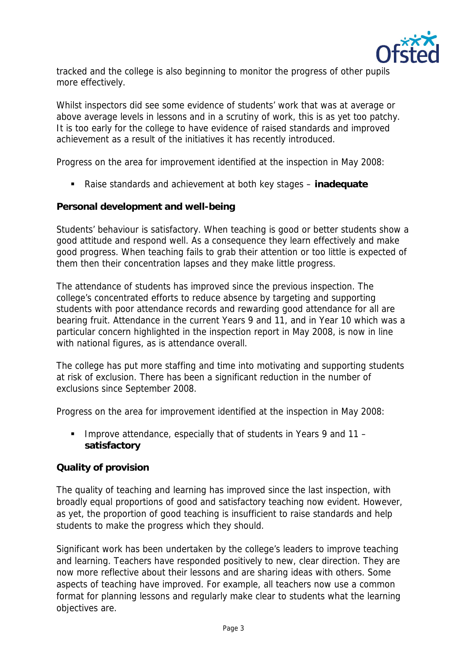

tracked and the college is also beginning to monitor the progress of other pupils more effectively.

Whilst inspectors did see some evidence of students' work that was at average or above average levels in lessons and in a scrutiny of work, this is as yet too patchy. It is too early for the college to have evidence of raised standards and improved achievement as a result of the initiatives it has recently introduced.

Progress on the area for improvement identified at the inspection in May 2008:

Raise standards and achievement at both key stages – **inadequate**

**Personal development and well-being**

Students' behaviour is satisfactory. When teaching is good or better students show a good attitude and respond well. As a consequence they learn effectively and make good progress. When teaching fails to grab their attention or too little is expected of them then their concentration lapses and they make little progress.

The attendance of students has improved since the previous inspection. The college's concentrated efforts to reduce absence by targeting and supporting students with poor attendance records and rewarding good attendance for all are bearing fruit. Attendance in the current Years 9 and 11, and in Year 10 which was a particular concern highlighted in the inspection report in May 2008, is now in line with national figures, as is attendance overall.

The college has put more staffing and time into motivating and supporting students at risk of exclusion. There has been a significant reduction in the number of exclusions since September 2008.

Progress on the area for improvement identified at the inspection in May 2008:

Improve attendance, especially that of students in Years 9 and  $11$ **satisfactory** 

## **Quality of provision**

The quality of teaching and learning has improved since the last inspection, with broadly equal proportions of good and satisfactory teaching now evident. However, as yet, the proportion of good teaching is insufficient to raise standards and help students to make the progress which they should.

Significant work has been undertaken by the college's leaders to improve teaching and learning. Teachers have responded positively to new, clear direction. They are now more reflective about their lessons and are sharing ideas with others. Some aspects of teaching have improved. For example, all teachers now use a common format for planning lessons and regularly make clear to students what the learning objectives are.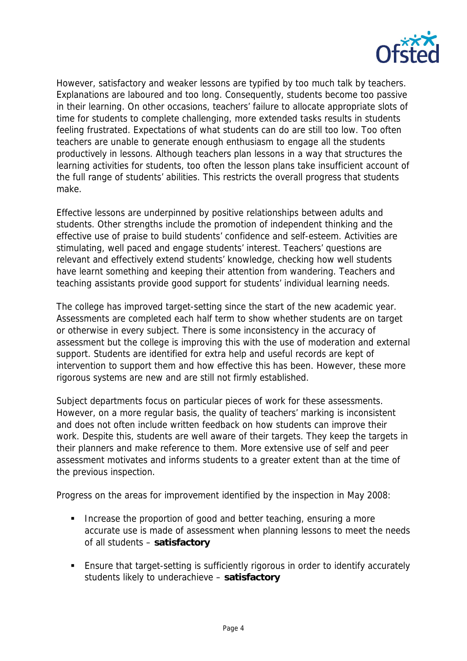

However, satisfactory and weaker lessons are typified by too much talk by teachers. Explanations are laboured and too long. Consequently, students become too passive in their learning. On other occasions, teachers' failure to allocate appropriate slots of time for students to complete challenging, more extended tasks results in students feeling frustrated. Expectations of what students can do are still too low. Too often teachers are unable to generate enough enthusiasm to engage all the students productively in lessons. Although teachers plan lessons in a way that structures the learning activities for students, too often the lesson plans take insufficient account of the full range of students' abilities. This restricts the overall progress that students make.

Effective lessons are underpinned by positive relationships between adults and students. Other strengths include the promotion of independent thinking and the effective use of praise to build students' confidence and self-esteem. Activities are stimulating, well paced and engage students' interest. Teachers' questions are relevant and effectively extend students' knowledge, checking how well students have learnt something and keeping their attention from wandering. Teachers and teaching assistants provide good support for students' individual learning needs.

The college has improved target-setting since the start of the new academic year. Assessments are completed each half term to show whether students are on target or otherwise in every subject. There is some inconsistency in the accuracy of assessment but the college is improving this with the use of moderation and external support. Students are identified for extra help and useful records are kept of intervention to support them and how effective this has been. However, these more rigorous systems are new and are still not firmly established.

Subject departments focus on particular pieces of work for these assessments. However, on a more regular basis, the quality of teachers' marking is inconsistent and does not often include written feedback on how students can improve their work. Despite this, students are well aware of their targets. They keep the targets in their planners and make reference to them. More extensive use of self and peer assessment motivates and informs students to a greater extent than at the time of the previous inspection.

Progress on the areas for improvement identified by the inspection in May 2008:

- **Increase the proportion of good and better teaching, ensuring a more** accurate use is made of assessment when planning lessons to meet the needs of all students – **satisfactory**
- Ensure that target-setting is sufficiently rigorous in order to identify accurately students likely to underachieve – **satisfactory**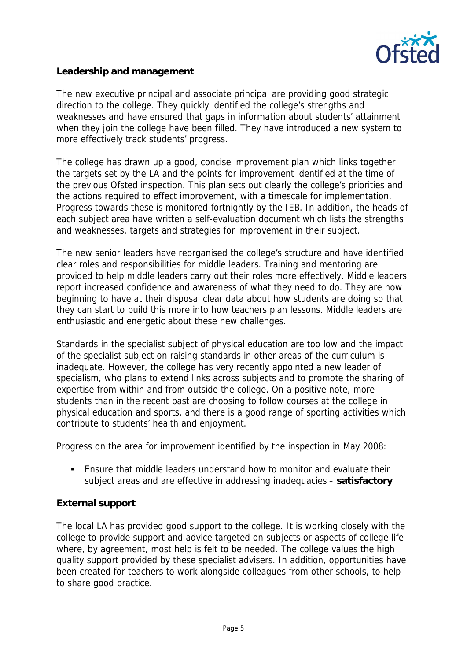

**Leadership and management**

The new executive principal and associate principal are providing good strategic direction to the college. They quickly identified the college's strengths and weaknesses and have ensured that gaps in information about students' attainment when they join the college have been filled. They have introduced a new system to more effectively track students' progress.

The college has drawn up a good, concise improvement plan which links together the targets set by the LA and the points for improvement identified at the time of the previous Ofsted inspection. This plan sets out clearly the college's priorities and the actions required to effect improvement, with a timescale for implementation. Progress towards these is monitored fortnightly by the IEB. In addition, the heads of each subject area have written a self-evaluation document which lists the strengths and weaknesses, targets and strategies for improvement in their subject.

The new senior leaders have reorganised the college's structure and have identified clear roles and responsibilities for middle leaders. Training and mentoring are provided to help middle leaders carry out their roles more effectively. Middle leaders report increased confidence and awareness of what they need to do. They are now beginning to have at their disposal clear data about how students are doing so that they can start to build this more into how teachers plan lessons. Middle leaders are enthusiastic and energetic about these new challenges.

Standards in the specialist subject of physical education are too low and the impact of the specialist subject on raising standards in other areas of the curriculum is inadequate. However, the college has very recently appointed a new leader of specialism, who plans to extend links across subjects and to promote the sharing of expertise from within and from outside the college. On a positive note, more students than in the recent past are choosing to follow courses at the college in physical education and sports, and there is a good range of sporting activities which contribute to students' health and enjoyment.

Progress on the area for improvement identified by the inspection in May 2008:

 Ensure that middle leaders understand how to monitor and evaluate their subject areas and are effective in addressing inadequacies – **satisfactory**

## **External support**

The local LA has provided good support to the college. It is working closely with the college to provide support and advice targeted on subjects or aspects of college life where, by agreement, most help is felt to be needed. The college values the high quality support provided by these specialist advisers. In addition, opportunities have been created for teachers to work alongside colleagues from other schools, to help to share good practice.